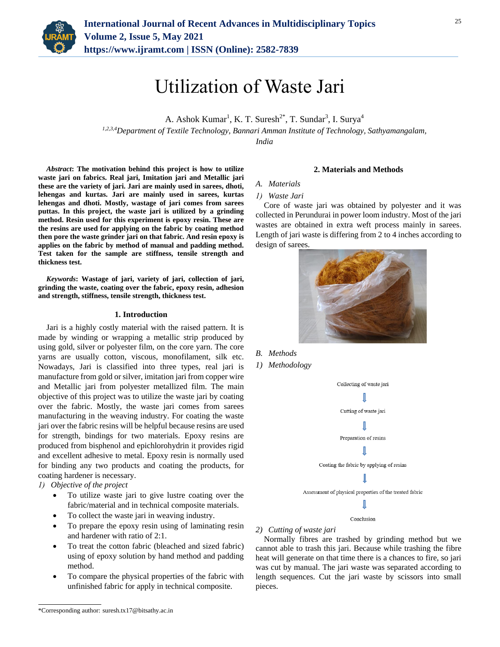

# Utilization of Waste Jari

A. Ashok Kumar<sup>1</sup>, K. T. Suresh<sup>2\*</sup>, T. Sundar<sup>3</sup>, I. Surya<sup>4</sup> *1,2,3,4Department of Textile Technology, Bannari Amman Institute of Technology, Sathyamangalam,* 

*India*

*Abstract***: The motivation behind this project is how to utilize waste jari on fabrics. Real jari, Imitation jari and Metallic jari these are the variety of jari. Jari are mainly used in sarees, dhoti, lehengas and kurtas. Jari are mainly used in sarees, kurtas lehengas and dhoti. Mostly, wastage of jari comes from sarees puttas. In this project, the waste jari is utilized by a grinding method. Resin used for this experiment is epoxy resin. These are the resins are used for applying on the fabric by coating method then pore the waste grinder jari on that fabric. And resin epoxy is applies on the fabric by method of manual and padding method. Test taken for the sample are stiffness, tensile strength and thickness test.**

*Keywords***: Wastage of jari, variety of jari, collection of jari, grinding the waste, coating over the fabric, epoxy resin, adhesion and strength, stiffness, tensile strength, thickness test.**

## **1. Introduction**

Jari is a highly costly material with the raised pattern. It is made by winding or wrapping a metallic strip produced by using gold, silver or polyester film, on the core yarn. The core yarns are usually cotton, viscous, monofilament, silk etc. Nowadays, Jari is classified into three types, real jari is manufacture from gold or silver, imitation jari from copper wire and Metallic jari from polyester metallized film. The main objective of this project was to utilize the waste jari by coating over the fabric. Mostly, the waste jari comes from sarees manufacturing in the weaving industry. For coating the waste jari over the fabric resins will be helpful because resins are used for strength, bindings for two materials. Epoxy resins are produced from bisphenol and epichlorohydrin it provides rigid and excellent adhesive to metal. Epoxy resin is normally used for binding any two products and coating the products, for coating hardener is necessary.

- *1) Objective of the project*
	- To utilize waste jari to give lustre coating over the fabric/material and in technical composite materials.
	- To collect the waste jari in weaving industry.
	- To prepare the epoxy resin using of laminating resin and hardener with ratio of 2:1.
	- To treat the cotton fabric (bleached and sized fabric) using of epoxy solution by hand method and padding method.
	- To compare the physical properties of the fabric with unfinished fabric for apply in technical composite.

#### **2. Materials and Methods**

#### *A. Materials*

#### *1) Waste Jari*

Core of waste jari was obtained by polyester and it was collected in Perundurai in power loom industry. Most of the jari wastes are obtained in extra weft process mainly in sarees. Length of jari waste is differing from 2 to 4 inches according to design of sarees.



- *B. Methods*
- *1) Methodology*



## *2) Cutting of waste jari*

Normally fibres are trashed by grinding method but we cannot able to trash this jari. Because while trashing the fibre heat will generate on that time there is a chances to fire, so jari was cut by manual. The jari waste was separated according to length sequences. Cut the jari waste by scissors into small pieces.

<sup>\*</sup>Corresponding author: suresh.tx17@bitsathy.ac.in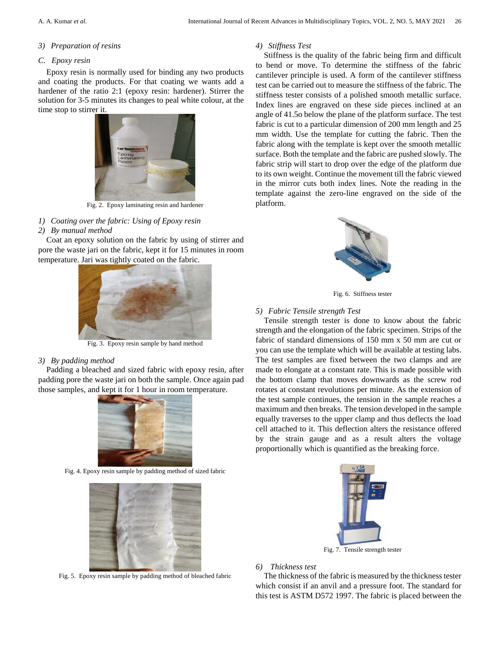## *3) Preparation of resins*

# *C. Epoxy resin*

Epoxy resin is normally used for binding any two products and coating the products. For that coating we wants add a hardener of the ratio 2:1 (epoxy resin: hardener). Stirrer the solution for 3-5 minutes its changes to peal white colour, at the time stop to stirrer it.



Fig. 2. Epoxy laminating resin and hardener

*1) Coating over the fabric: Using of Epoxy resin* 

# *2) By manual method*

Coat an epoxy solution on the fabric by using of stirrer and pore the waste jari on the fabric, kept it for 15 minutes in room temperature. Jari was tightly coated on the fabric.



Fig. 3. Epoxy resin sample by hand method

# *3) By padding method*

Padding a bleached and sized fabric with epoxy resin, after padding pore the waste jari on both the sample. Once again pad those samples, and kept it for 1 hour in room temperature.



Fig. 4. Epoxy resin sample by padding method of sized fabric



Fig. 5. Epoxy resin sample by padding method of bleached fabric

# *4) Stiffness Test*

Stiffness is the quality of the fabric being firm and difficult to bend or move. To determine the stiffness of the fabric cantilever principle is used. A form of the cantilever stiffness test can be carried out to measure the stiffness of the fabric. The stiffness tester consists of a polished smooth metallic surface. Index lines are engraved on these side pieces inclined at an angle of 41.5o below the plane of the platform surface. The test fabric is cut to a particular dimension of 200 mm length and 25 mm width. Use the template for cutting the fabric. Then the fabric along with the template is kept over the smooth metallic surface. Both the template and the fabric are pushed slowly. The fabric strip will start to drop over the edge of the platform due to its own weight. Continue the movement till the fabric viewed in the mirror cuts both index lines. Note the reading in the template against the zero-line engraved on the side of the platform.



Fig. 6. Stiffness tester

## *5) Fabric Tensile strength Test*

Tensile strength tester is done to know about the fabric strength and the elongation of the fabric specimen. Strips of the fabric of standard dimensions of 150 mm x 50 mm are cut or you can use the template which will be available at testing labs. The test samples are fixed between the two clamps and are made to elongate at a constant rate. This is made possible with the bottom clamp that moves downwards as the screw rod rotates at constant revolutions per minute. As the extension of the test sample continues, the tension in the sample reaches a maximum and then breaks. The tension developed in the sample equally traverses to the upper clamp and thus deflects the load cell attached to it. This deflection alters the resistance offered by the strain gauge and as a result alters the voltage proportionally which is quantified as the breaking force.



Fig. 7. Tensile strength tester

# *6) Thickness test*

The thickness of the fabric is measured by the thickness tester which consist if an anvil and a pressure foot. The standard for this test is ASTM D572 1997. The fabric is placed between the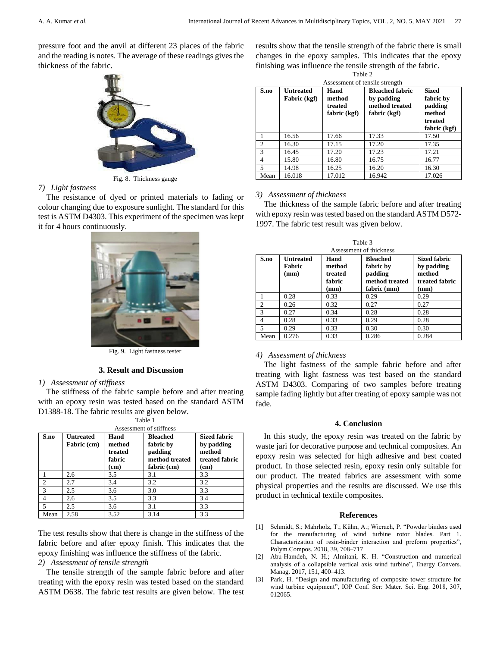pressure foot and the anvil at different 23 places of the fabric and the reading is notes. The average of these readings gives the thickness of the fabric.



Fig. 8. Thickness gauge

### *7) Light fastness*

The resistance of dyed or printed materials to fading or colour changing due to exposure sunlight. The standard for this test is ASTM D4303. This experiment of the specimen was kept it for 4 hours continuously.



Fig. 9. Light fastness tester

## **3. Result and Discussion**

#### *1) Assessment of stiffness*

The stiffness of the fabric sample before and after treating with an epoxy resin was tested based on the standard ASTM D1388-18. The fabric results are given below.

| Assessment of stiffness |                                 |                                             |                                                                          |                                                                       |  |  |  |
|-------------------------|---------------------------------|---------------------------------------------|--------------------------------------------------------------------------|-----------------------------------------------------------------------|--|--|--|
| S.no                    | <b>Untreated</b><br>Fabric (cm) | Hand<br>method<br>treated<br>fabric<br>(cm) | <b>Bleached</b><br>fabric by<br>padding<br>method treated<br>fabric (cm) | <b>Sized fabric</b><br>by padding<br>method<br>treated fabric<br>(cm) |  |  |  |
|                         | 2.6                             | 3.5                                         | 3.1                                                                      | 3.3                                                                   |  |  |  |
| $\mathcal{D}$           | 2.7                             | 3.4                                         | 3.2                                                                      | 3.2                                                                   |  |  |  |
| $\mathbf{3}$            | 2.5                             | 3.6                                         | 3.0                                                                      | 3.3                                                                   |  |  |  |
| 4                       | 2.6                             | 3.5                                         | 3.3                                                                      | 3.4                                                                   |  |  |  |
| 5                       | 2.5                             | 3.6                                         | 3.1                                                                      | 3.3                                                                   |  |  |  |
| Mean                    | 2.58                            | 3.52                                        | 3.14                                                                     | 3.3                                                                   |  |  |  |

Table 1

The test results show that there is change in the stiffness of the fabric before and after epoxy finish. This indicates that the epoxy finishing was influence the stiffness of the fabric.

## *2) Assessment of tensile strength*

The tensile strength of the sample fabric before and after treating with the epoxy resin was tested based on the standard ASTM D638. The fabric test results are given below. The test

results show that the tensile strength of the fabric there is small changes in the epoxy samples. This indicates that the epoxy finishing was influence the tensile strength of the fabric.

| Table 2                        |                                  |                           |                                                        |                                      |  |  |  |  |
|--------------------------------|----------------------------------|---------------------------|--------------------------------------------------------|--------------------------------------|--|--|--|--|
| Assessment of tensile strength |                                  |                           |                                                        |                                      |  |  |  |  |
| S.no                           | <b>Untreated</b><br>Fabric (kgf) | Hand<br>method<br>treated | <b>Bleached fabric</b><br>by padding<br>method treated | <b>Sized</b><br>fabric by<br>padding |  |  |  |  |
|                                |                                  | fabric (kgf)              | fabric (kgf)                                           | method<br>treated                    |  |  |  |  |
|                                |                                  |                           |                                                        | fabric (kgf)                         |  |  |  |  |
|                                | 16.56                            | 17.66                     | 17.33                                                  | 17.50                                |  |  |  |  |
| $\overline{c}$                 | 16.30                            | 17.15                     | 17.20                                                  | 17.35                                |  |  |  |  |
| 3                              | 16.45                            | 17.20                     | 17.23                                                  | 17.21                                |  |  |  |  |
| 4                              | 15.80                            | 16.80                     | 16.75                                                  | 16.77                                |  |  |  |  |
| $\overline{5}$                 | 14.98                            | 16.25                     | 16.20                                                  | 16.30                                |  |  |  |  |
| Mean                           | 16.018                           | 17.012                    | 16.942                                                 | 17.026                               |  |  |  |  |

#### *3) Assessment of thickness*

The thickness of the sample fabric before and after treating with epoxy resin was tested based on the standard ASTM D572- 1997. The fabric test result was given below.

| Assessment of thickness |                                           |                                     |                                                           |                                                               |  |  |  |
|-------------------------|-------------------------------------------|-------------------------------------|-----------------------------------------------------------|---------------------------------------------------------------|--|--|--|
| S.no                    | <b>Untreated</b><br><b>Fabric</b><br>(mm) | Hand<br>method<br>treated<br>fabric | <b>Bleached</b><br>fabric by<br>padding<br>method treated | <b>Sized fabric</b><br>by padding<br>method<br>treated fabric |  |  |  |
|                         |                                           | (mm)                                | fabric (mm)                                               | (mm)                                                          |  |  |  |
|                         | 0.28                                      | 0.33                                | 0.29                                                      | 0.29                                                          |  |  |  |
| $\overline{c}$          | 0.26                                      | 0.32                                | 0.27                                                      | 0.27                                                          |  |  |  |
| $\mathcal{R}$           | 0.27                                      | 0.34                                | 0.28                                                      | 0.28                                                          |  |  |  |
| $\overline{4}$          | 0.28                                      | 0.33                                | 0.29                                                      | 0.28                                                          |  |  |  |
| $\overline{5}$          | 0.29                                      | 0.33                                | 0.30                                                      | 0.30                                                          |  |  |  |
| Mean                    | 0.276                                     | 0.33                                | 0.286                                                     | 0.284                                                         |  |  |  |

Table 3

## *4) Assessment of thickness*

The light fastness of the sample fabric before and after treating with light fastness was test based on the standard ASTM D4303. Comparing of two samples before treating sample fading lightly but after treating of epoxy sample was not fade.

#### **4. Conclusion**

In this study, the epoxy resin was treated on the fabric by waste jari for decorative purpose and technical composites. An epoxy resin was selected for high adhesive and best coated product. In those selected resin, epoxy resin only suitable for our product. The treated fabrics are assessment with some physical properties and the results are discussed. We use this product in technical textile composites.

#### **References**

- [1] Schmidt, S.; Mahrholz, T.; Kühn, A.; Wierach, P. "Powder binders used for the manufacturing of wind turbine rotor blades. Part 1. Characterization of resin-binder interaction and preform properties", Polym.Compos. 2018, 39, 708–717
- [2] Abu-Hamdeh, N. H.; Almitani, K. H. "Construction and numerical analysis of a collapsible vertical axis wind turbine", Energy Convers. Manag. 2017, 151, 400–413.
- [3] Park, H. "Design and manufacturing of composite tower structure for wind turbine equipment", IOP Conf. Ser: Mater. Sci. Eng. 2018, 307, 012065.